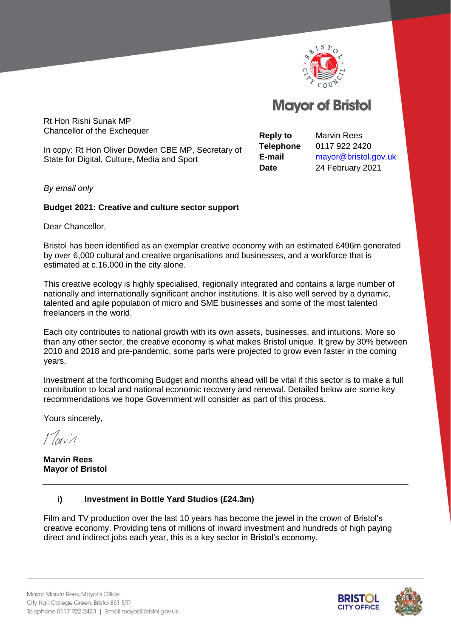

**Mavor of Bristol** 

Rt Hon Rishi Sunak MP Chancellor of the Exchequer

In copy: Rt Hon Oliver Dowden CBE MP, Secretary of State for Digital, Culture, Media and Sport

**Reply to** Marvin Rees **Telephone** 0117 922 2420 **E-mail** [mayor@bristol.gov.uk](mailto:mayor@bristol.gov.uk) **Date** 24 February 2021

*By email only*

#### **Budget 2021: Creative and culture sector support**

Dear Chancellor,

Bristol has been identified as an exemplar creative economy with an estimated £496m generated by over 6,000 cultural and creative organisations and businesses, and a workforce that is estimated at c.16,000 in the city alone.

This creative ecology is highly specialised, regionally integrated and contains a large number of nationally and internationally significant anchor institutions. It is also well served by a dynamic, talented and agile population of micro and SME businesses and some of the most talented freelancers in the world.

Each city contributes to national growth with its own assets, businesses, and intuitions. More so than any other sector, the creative economy is what makes Bristol unique. It grew by 30% between 2010 and 2018 and pre-pandemic, some parts were projected to grow even faster in the coming years.

Investment at the forthcoming Budget and months ahead will be vital if this sector is to make a full contribution to local and national economic recovery and renewal. Detailed below are some key recommendations we hope Government will consider as part of this process.

Yours sincerely,

Marin

**Marvin Rees Mayor of Bristol**

#### **i) Investment in Bottle Yard Studios (£24.3m)**

Film and TV production over the last 10 years has become the jewel in the crown of Bristol's creative economy. Providing tens of millions of inward investment and hundreds of high paying direct and indirect jobs each year, this is a key sector in Bristol's economy.